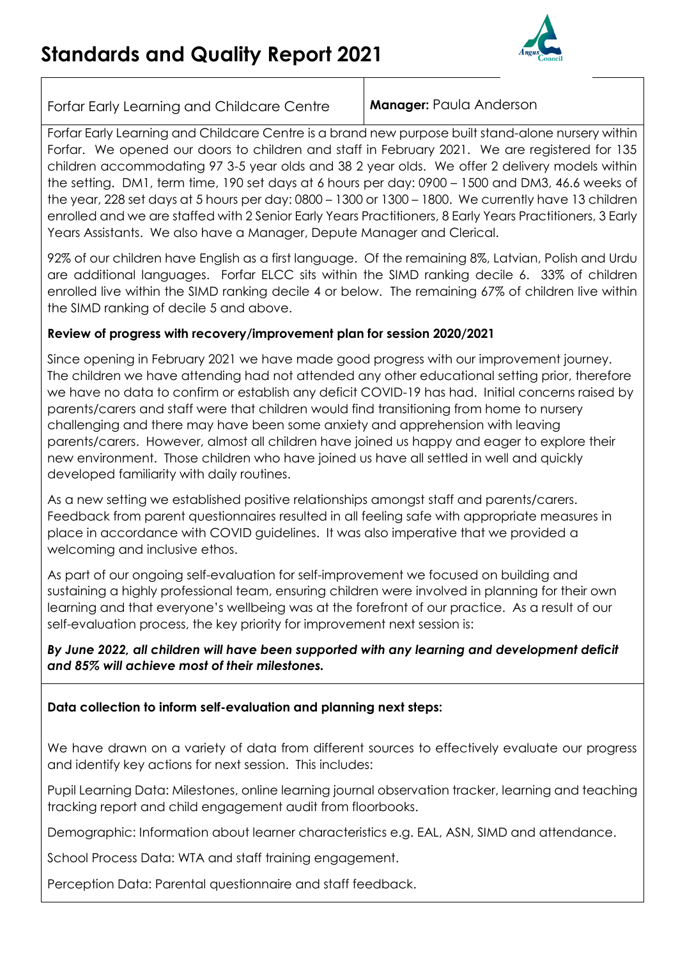

Forfar Early Learning and Childcare Centre **Manager:** Paula Anderson

Forfar Early Learning and Childcare Centre is a brand new purpose built stand-alone nursery within Forfar. We opened our doors to children and staff in February 2021. We are registered for 135 children accommodating 97 3-5 year olds and 38 2 year olds. We offer 2 delivery models within the setting. DM1, term time, 190 set days at 6 hours per day: 0900 – 1500 and DM3, 46.6 weeks of the year, 228 set days at 5 hours per day: 0800 – 1300 or 1300 – 1800. We currently have 13 children enrolled and we are staffed with 2 Senior Early Years Practitioners, 8 Early Years Practitioners, 3 Early Years Assistants. We also have a Manager, Depute Manager and Clerical.

92% of our children have English as a first language. Of the remaining 8%, Latvian, Polish and Urdu are additional languages. Forfar ELCC sits within the SIMD ranking decile 6. 33% of children enrolled live within the SIMD ranking decile 4 or below. The remaining 67% of children live within the SIMD ranking of decile 5 and above.

# **Review of progress with recovery/improvement plan for session 2020/2021**

Since opening in February 2021 we have made good progress with our improvement journey. The children we have attending had not attended any other educational setting prior, therefore we have no data to confirm or establish any deficit COVID-19 has had. Initial concerns raised by parents/carers and staff were that children would find transitioning from home to nursery challenging and there may have been some anxiety and apprehension with leaving parents/carers. However, almost all children have joined us happy and eager to explore their new environment. Those children who have joined us have all settled in well and quickly developed familiarity with daily routines.

As a new setting we established positive relationships amongst staff and parents/carers. Feedback from parent questionnaires resulted in all feeling safe with appropriate measures in place in accordance with COVID guidelines. It was also imperative that we provided a welcoming and inclusive ethos.

As part of our ongoing self-evaluation for self-improvement we focused on building and sustaining a highly professional team, ensuring children were involved in planning for their own learning and that everyone's wellbeing was at the forefront of our practice. As a result of our self-evaluation process, the key priority for improvement next session is:

# *By June 2022, all children will have been supported with any learning and development deficit and 85% will achieve most of their milestones.*

# **Data collection to inform self-evaluation and planning next steps:**

We have drawn on a variety of data from different sources to effectively evaluate our progress and identify key actions for next session. This includes:

Pupil Learning Data: Milestones, online learning journal observation tracker, learning and teaching tracking report and child engagement audit from floorbooks.

Demographic: Information about learner characteristics e.g. EAL, ASN, SIMD and attendance.

School Process Data: WTA and staff training engagement.

Perception Data: Parental questionnaire and staff feedback.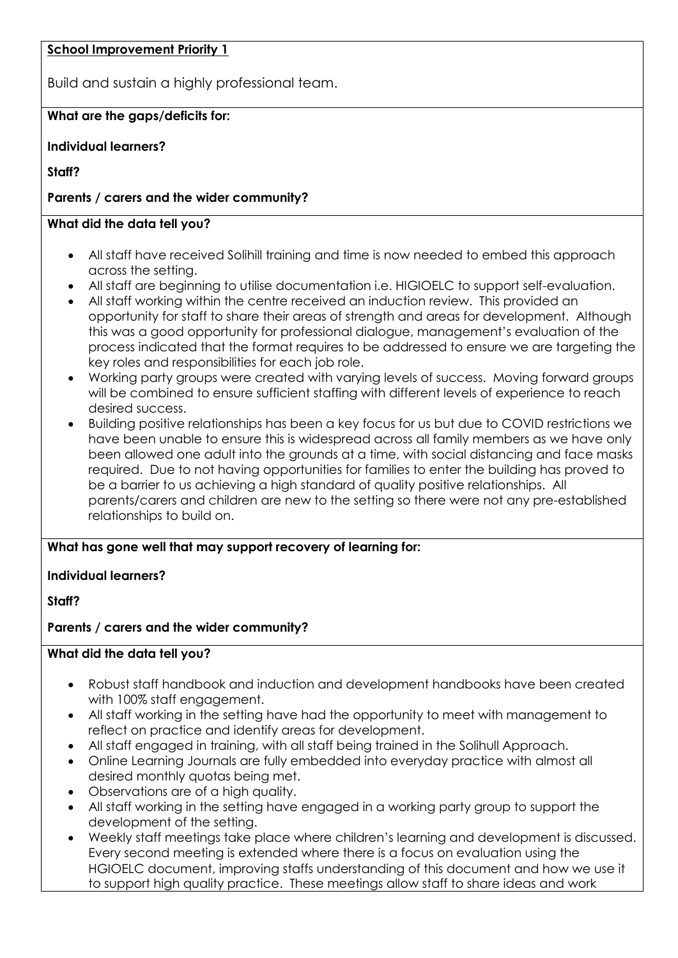## **School Improvement Priority 1**

Build and sustain a highly professional team.

# **What are the gaps/deficits for:**

# **Individual learners?**

**Staff?**

# **Parents / carers and the wider community?**

# **What did the data tell you?**

- All staff have received Solihill training and time is now needed to embed this approach across the setting.
- All staff are beginning to utilise documentation i.e. HIGIOELC to support self-evaluation.
- All staff working within the centre received an induction review. This provided an opportunity for staff to share their areas of strength and areas for development. Although this was a good opportunity for professional dialogue, management's evaluation of the process indicated that the format requires to be addressed to ensure we are targeting the key roles and responsibilities for each job role.
- Working party groups were created with varying levels of success. Moving forward groups will be combined to ensure sufficient staffing with different levels of experience to reach desired success.
- Building positive relationships has been a key focus for us but due to COVID restrictions we have been unable to ensure this is widespread across all family members as we have only been allowed one adult into the grounds at a time, with social distancing and face masks required. Due to not having opportunities for families to enter the building has proved to be a barrier to us achieving a high standard of quality positive relationships. All parents/carers and children are new to the setting so there were not any pre-established relationships to build on.

# **What has gone well that may support recovery of learning for:**

# **Individual learners?**

**Staff?**

# **Parents / carers and the wider community?**

# **What did the data tell you?**

- Robust staff handbook and induction and development handbooks have been created with 100% staff engagement.
- All staff working in the setting have had the opportunity to meet with management to reflect on practice and identify areas for development.
- All staff engaged in training, with all staff being trained in the Solihull Approach.
- Online Learning Journals are fully embedded into everyday practice with almost all desired monthly quotas being met.
- Observations are of a high quality.
- All staff working in the setting have engaged in a working party group to support the development of the setting.
- Weekly staff meetings take place where children's learning and development is discussed. Every second meeting is extended where there is a focus on evaluation using the HGIOELC document, improving staffs understanding of this document and how we use it to support high quality practice. These meetings allow staff to share ideas and work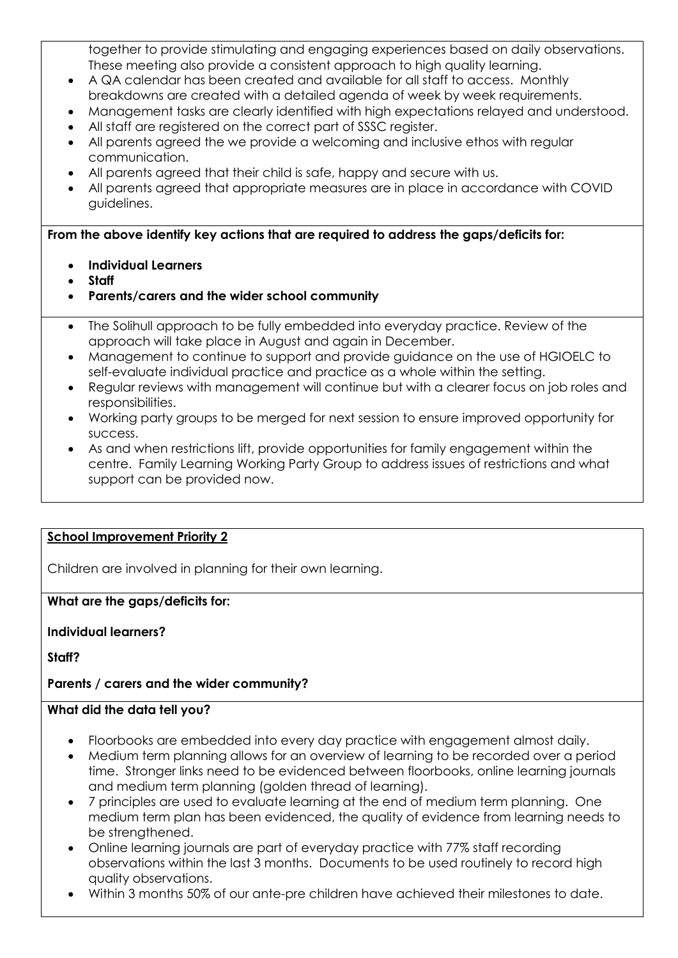together to provide stimulating and engaging experiences based on daily observations. These meeting also provide a consistent approach to high quality learning.

- A QA calendar has been created and available for all staff to access. Monthly breakdowns are created with a detailed agenda of week by week requirements.
- Management tasks are clearly identified with high expectations relayed and understood.
- All staff are registered on the correct part of SSSC register.
- All parents agreed the we provide a welcoming and inclusive ethos with regular communication.
- All parents agreed that their child is safe, happy and secure with us.
- All parents agreed that appropriate measures are in place in accordance with COVID guidelines.

**From the above identify key actions that are required to address the gaps/deficits for:**

- **Individual Learners**
- **Staff**
- **Parents/carers and the wider school community**
- The Solihull approach to be fully embedded into everyday practice. Review of the approach will take place in August and again in December.
- Management to continue to support and provide guidance on the use of HGIOELC to self-evaluate individual practice and practice as a whole within the setting.
- Regular reviews with management will continue but with a clearer focus on job roles and responsibilities.
- Working party groups to be merged for next session to ensure improved opportunity for success.
- As and when restrictions lift, provide opportunities for family engagement within the centre. Family Learning Working Party Group to address issues of restrictions and what support can be provided now.

# **School Improvement Priority 2**

Children are involved in planning for their own learning.

## **What are the gaps/deficits for:**

## **Individual learners?**

**Staff?**

# **Parents / carers and the wider community?**

## **What did the data tell you?**

- Floorbooks are embedded into every day practice with engagement almost daily.
- Medium term planning allows for an overview of learning to be recorded over a period time. Stronger links need to be evidenced between floorbooks, online learning journals and medium term planning (golden thread of learning).
- 7 principles are used to evaluate learning at the end of medium term planning. One medium term plan has been evidenced, the quality of evidence from learning needs to be strengthened.
- Online learning journals are part of everyday practice with 77% staff recording observations within the last 3 months. Documents to be used routinely to record high quality observations.
- Within 3 months 50% of our ante-pre children have achieved their milestones to date.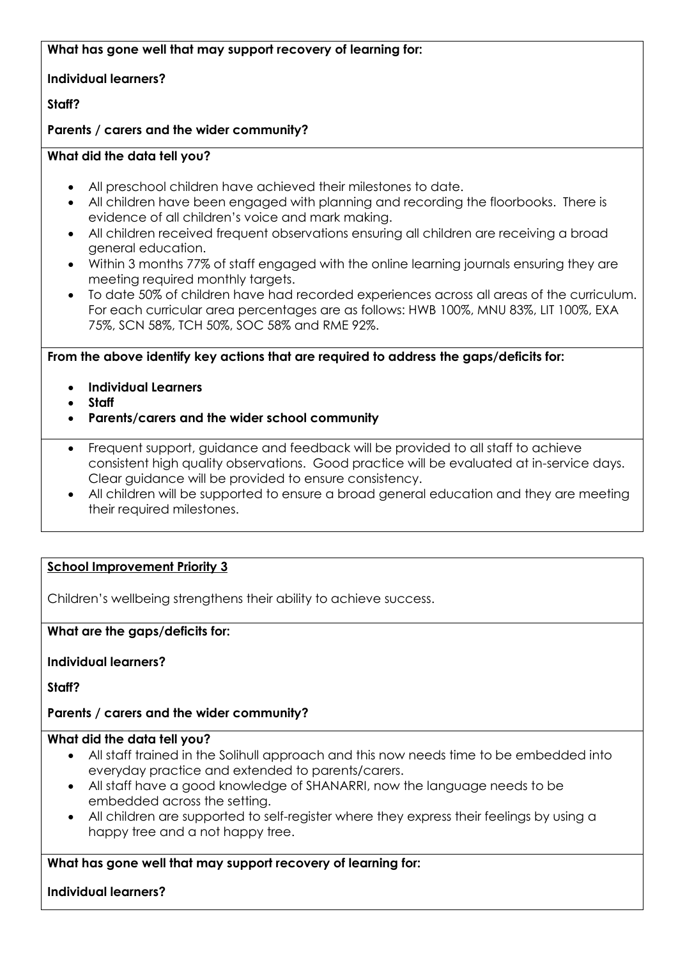# **What has gone well that may support recovery of learning for:**

## **Individual learners?**

# **Staff?**

## **Parents / carers and the wider community?**

## **What did the data tell you?**

- All preschool children have achieved their milestones to date.
- All children have been engaged with planning and recording the floorbooks. There is evidence of all children's voice and mark making.
- All children received frequent observations ensuring all children are receiving a broad general education.
- Within 3 months 77% of staff engaged with the online learning journals ensuring they are meeting required monthly targets.
- To date 50% of children have had recorded experiences across all areas of the curriculum. For each curricular area percentages are as follows: HWB 100%, MNU 83%, LIT 100%, EXA 75%, SCN 58%, TCH 50%, SOC 58% and RME 92%.

**From the above identify key actions that are required to address the gaps/deficits for:**

- **Individual Learners**
- **Staff**
- **Parents/carers and the wider school community**
- Frequent support, guidance and feedback will be provided to all staff to achieve consistent high quality observations. Good practice will be evaluated at in-service days. Clear guidance will be provided to ensure consistency.
- All children will be supported to ensure a broad general education and they are meeting their required milestones.

## **School Improvement Priority 3**

Children's wellbeing strengthens their ability to achieve success.

#### **What are the gaps/deficits for:**

**Individual learners?**

**Staff?**

## **Parents / carers and the wider community?**

#### **What did the data tell you?**

- All staff trained in the Solihull approach and this now needs time to be embedded into everyday practice and extended to parents/carers.
- All staff have a good knowledge of SHANARRI, now the language needs to be embedded across the setting.
- All children are supported to self-register where they express their feelings by using a happy tree and a not happy tree.

## **What has gone well that may support recovery of learning for:**

**Individual learners?**